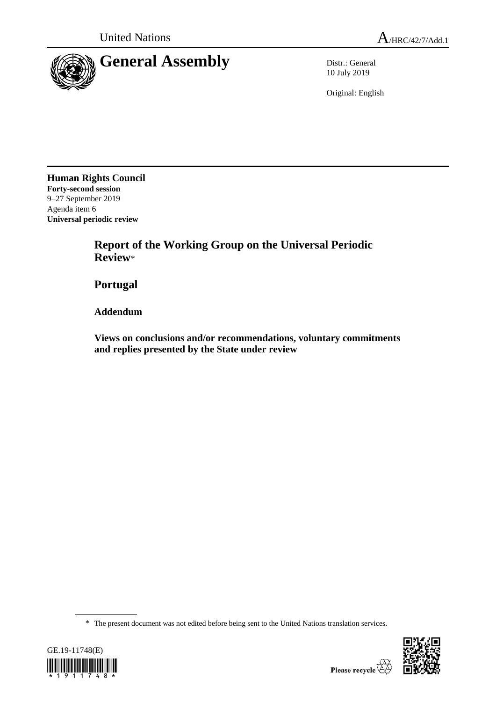

10 July 2019

Original: English

**Human Rights Council Forty-second session** 9–27 September 2019 Agenda item 6 **Universal periodic review**

> **Report of the Working Group on the Universal Periodic Review**\*

**Portugal**

**Addendum**

**Views on conclusions and/or recommendations, voluntary commitments and replies presented by the State under review**

\* The present document was not edited before being sent to the United Nations translation services.



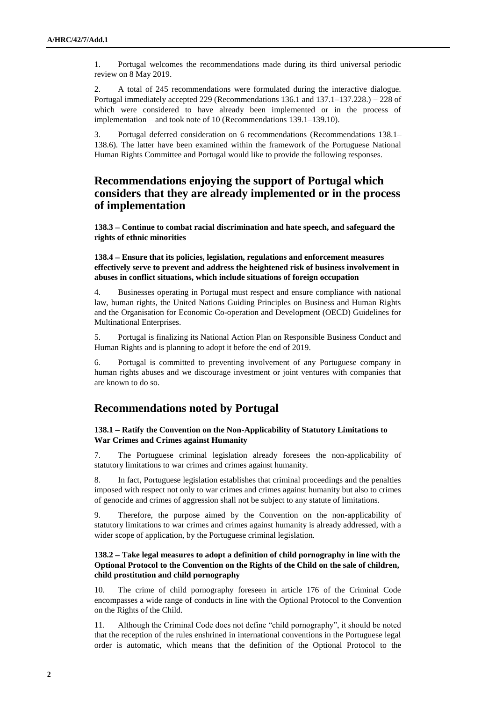1. Portugal welcomes the recommendations made during its third universal periodic review on 8 May 2019.

2. A total of 245 recommendations were formulated during the interactive dialogue. Portugal immediately accepted 229 (Recommendations 136.1 and 137.1–137.228.) – 228 of which were considered to have already been implemented or in the process of implementation  $-$  and took note of 10 (Recommendations 139.1–139.10).

3. Portugal deferred consideration on 6 recommendations (Recommendations 138.1– 138.6). The latter have been examined within the framework of the Portuguese National Human Rights Committee and Portugal would like to provide the following responses.

# **Recommendations enjoying the support of Portugal which considers that they are already implemented or in the process of implementation**

**138.3 Continue to combat racial discrimination and hate speech, and safeguard the rights of ethnic minorities**

**138.4 Ensure that its policies, legislation, regulations and enforcement measures effectively serve to prevent and address the heightened risk of business involvement in abuses in conflict situations, which include situations of foreign occupation**

4. Businesses operating in Portugal must respect and ensure compliance with national law, human rights, the United Nations Guiding Principles on Business and Human Rights and the Organisation for Economic Co-operation and Development (OECD) Guidelines for Multinational Enterprises.

5. Portugal is finalizing its National Action Plan on Responsible Business Conduct and Human Rights and is planning to adopt it before the end of 2019.

6. Portugal is committed to preventing involvement of any Portuguese company in human rights abuses and we discourage investment or joint ventures with companies that are known to do so.

## **Recommendations noted by Portugal**

#### **138.1 Ratify the Convention on the Non-Applicability of Statutory Limitations to War Crimes and Crimes against Humanity**

7. The Portuguese criminal legislation already foresees the non-applicability of statutory limitations to war crimes and crimes against humanity.

8. In fact, Portuguese legislation establishes that criminal proceedings and the penalties imposed with respect not only to war crimes and crimes against humanity but also to crimes of genocide and crimes of aggression shall not be subject to any statute of limitations.

9. Therefore, the purpose aimed by the Convention on the non-applicability of statutory limitations to war crimes and crimes against humanity is already addressed, with a wider scope of application, by the Portuguese criminal legislation.

### **138.2 Take legal measures to adopt a definition of child pornography in line with the Optional Protocol to the Convention on the Rights of the Child on the sale of children, child prostitution and child pornography**

10. The crime of child pornography foreseen in article 176 of the Criminal Code encompasses a wide range of conducts in line with the Optional Protocol to the Convention on the Rights of the Child.

11. Although the Criminal Code does not define "child pornography", it should be noted that the reception of the rules enshrined in international conventions in the Portuguese legal order is automatic, which means that the definition of the Optional Protocol to the